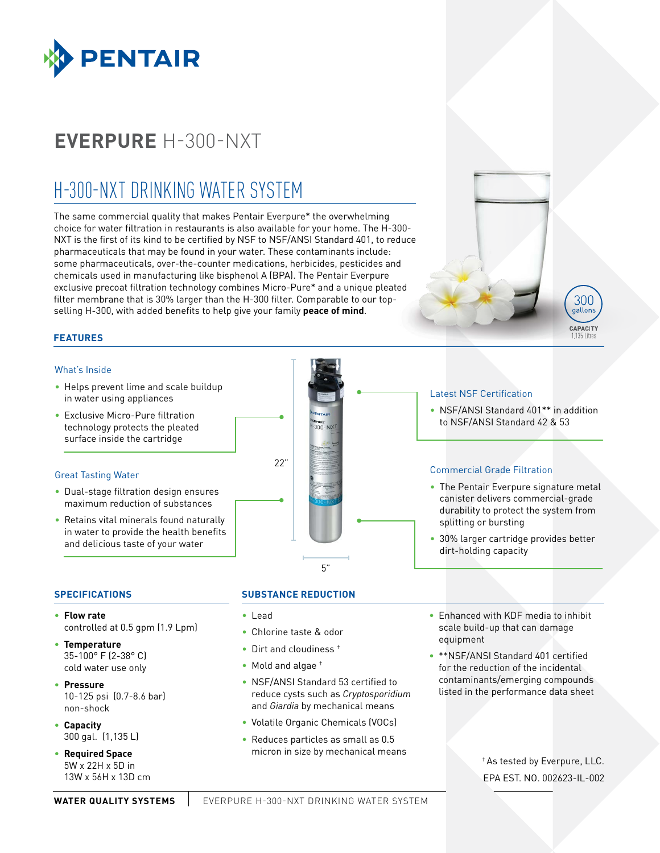

## **EVERPURE** H-300-NXT

## H-300-NXT DRINKING WATER SYSTEM

The same commercial quality that makes Pentair Everpure\* the overwhelming choice for water filtration in restaurants is also available for your home. The H-300- NXT is the first of its kind to be certified by NSF to NSF/ANSI Standard 401, to reduce pharmaceuticals that may be found in your water. These contaminants include: some pharmaceuticals, over-the-counter medications, herbicides, pesticides and chemicals used in manufacturing like bisphenol A (BPA). The Pentair Everpure exclusive precoat filtration technology combines Micro-Pure\* and a unique pleated filter membrane that is 30% larger than the H-300 filter. Comparable to our topselling H-300, with added benefits to help give your family **peace of mind**.

#### **FEATURES**

#### What's Inside

- Helps prevent lime and scale buildup in water using appliances
- Exclusive Micro-Pure filtration technology protects the pleated surface inside the cartridge

#### Great Tasting Water

- Dual-stage filtration design ensures maximum reduction of substances
- Retains vital minerals found naturally in water to provide the health benefits and delicious taste of your water

# $22"$ 5"

### Latest NSF Certification

• NSF/ANSI Standard 401<sup>\*\*</sup> in addition to NSF/ANSI Standard 42 & 53

300 gallons **CAPACITY** 

#### Commercial Grade Filtration

- The Pentair Everpure signature metal canister delivers commercial-grade durability to protect the system from splitting or bursting
- 30% larger cartridge provides better dirt-holding capacity

#### **SPECIFICATIONS**

- **Flow rate**  controlled at 0.5 gpm (1.9 Lpm)
- **Temperature**  35-100° F (2-38° C) cold water use only
- **Pressure** 10-125 psi (0.7-8.6 bar) non-shock
- **Capacity** 300 gal. (1,135 L)
- **Required Space** 5W x 22H x 5D in 13W x 56H x 13D cm

#### **SUBSTANCE REDUCTION**

- Lead
- Chlorine taste & odor
- Dirt and cloudiness  $<sup>+</sup>$ </sup>
- Mold and algae †
- NSF/ANSI Standard 53 certified to reduce cysts such as *Cryptosporidium* and *Giardia* by mechanical means
- Volatile Organic Chemicals (VOCs)
- Reduces particles as small as 0.5 micron in size by mechanical means
- Enhanced with KDF media to inhibit scale build-up that can damage equipment
- \*\*NSF/ANSI Standard 401 certified for the reduction of the incidental contaminants/emerging compounds listed in the performance data sheet

† As tested by Everpure, LLC. EPA EST. NO. 002623-IL-002